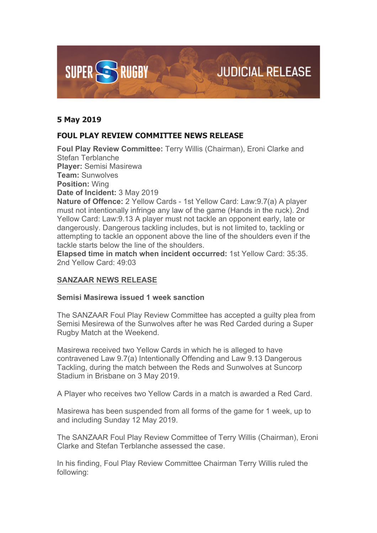

## **5 May 2019**

# **FOUL PLAY REVIEW COMMITTEE NEWS RELEASE**

**Foul Play Review Committee:** Terry Willis (Chairman), Eroni Clarke and Stefan Terblanche **Player:** Semisi Masirewa **Team:** Sunwolves **Position:** Wing **Date of Incident:** 3 May 2019 **Nature of Offence:** 2 Yellow Cards - 1st Yellow Card: Law:9.7(a) A player must not intentionally infringe any law of the game (Hands in the ruck). 2nd

Yellow Card: Law:9.13 A player must not tackle an opponent early, late or dangerously. Dangerous tackling includes, but is not limited to, tackling or attempting to tackle an opponent above the line of the shoulders even if the tackle starts below the line of the shoulders.

**Elapsed time in match when incident occurred:** 1st Yellow Card: 35:35. 2nd Yellow Card: 49:03

## **SANZAAR NEWS RELEASE**

#### **Semisi Masirewa issued 1 week sanction**

The SANZAAR Foul Play Review Committee has accepted a guilty plea from Semisi Mesirewa of the Sunwolves after he was Red Carded during a Super Rugby Match at the Weekend.

Masirewa received two Yellow Cards in which he is alleged to have contravened Law 9.7(a) Intentionally Offending and Law 9.13 Dangerous Tackling, during the match between the Reds and Sunwolves at Suncorp Stadium in Brisbane on 3 May 2019.

A Player who receives two Yellow Cards in a match is awarded a Red Card.

Masirewa has been suspended from all forms of the game for 1 week, up to and including Sunday 12 May 2019.

The SANZAAR Foul Play Review Committee of Terry Willis (Chairman), Eroni Clarke and Stefan Terblanche assessed the case.

In his finding, Foul Play Review Committee Chairman Terry Willis ruled the following: